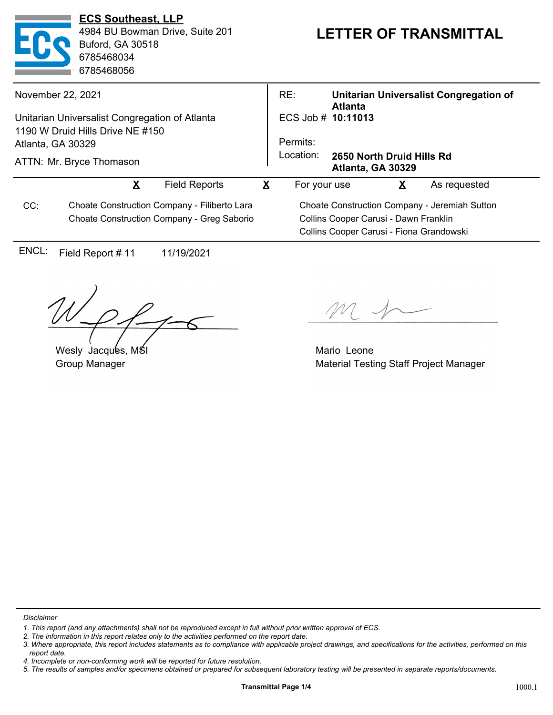| <b>ECS Southeast, LLP</b><br>4984 BU Bowman Drive, Suite 201<br><b>Buford, GA 30518</b><br>6785468034<br>6785468056 |                                              |                      |                         | <b>LETTER OF TRANSMITTAL</b> |                                                |   |                                               |
|---------------------------------------------------------------------------------------------------------------------|----------------------------------------------|----------------------|-------------------------|------------------------------|------------------------------------------------|---|-----------------------------------------------|
|                                                                                                                     | November 22, 2021                            |                      |                         | RE:                          | Atlanta                                        |   | Unitarian Universalist Congregation of        |
| Unitarian Universalist Congregation of Atlanta<br>1190 W Druid Hills Drive NE #150<br>Atlanta, GA 30329             |                                              |                      |                         | ECS Job # 10:11013           | 2650 North Druid Hills Rd<br>Atlanta, GA 30329 |   |                                               |
|                                                                                                                     |                                              |                      |                         |                              |                                                |   |                                               |
|                                                                                                                     |                                              |                      |                         | Permits:                     |                                                |   |                                               |
| ATTN: Mr. Bryce Thomason                                                                                            |                                              |                      | Location:               |                              |                                                |   |                                               |
|                                                                                                                     | $\overline{\mathbf{X}}$                      | <b>Field Reports</b> | $\overline{\mathbf{X}}$ | For your use                 |                                                | X | As requested                                  |
| CC:                                                                                                                 | Choate Construction Company - Filiberto Lara |                      |                         |                              |                                                |   | Choate Construction Company - Jeremiah Sutton |
|                                                                                                                     | Choate Construction Company - Greg Saborio   |                      |                         |                              | Collins Cooper Carusi - Dawn Franklin          |   |                                               |
|                                                                                                                     |                                              |                      |                         |                              | Collins Cooper Carusi - Fiona Grandowski       |   |                                               |
| ENCL:                                                                                                               | Field Report #11                             | 11/19/2021           |                         |                              |                                                |   |                                               |

Wesly Jacques, M\$I Group Manager

Mario Leone Material Testing Staff Project Manager

*Disclaimer*

*<sup>1.</sup> This report (and any attachments) shall not be reproduced except in full without prior written approval of ECS.*

*<sup>2.</sup> The information in this report relates only to the activities performed on the report date.*

*<sup>3.</sup> Where appropriate, this report includes statements as to compliance with applicable project drawings, and specifications for the activities, performed on this report date.*

*<sup>4.</sup> Incomplete or non-conforming work will be reported for future resolution.*

*<sup>5.</sup> The results of samples and/or specimens obtained or prepared for subsequent laboratory testing will be presented in separate reports/documents.*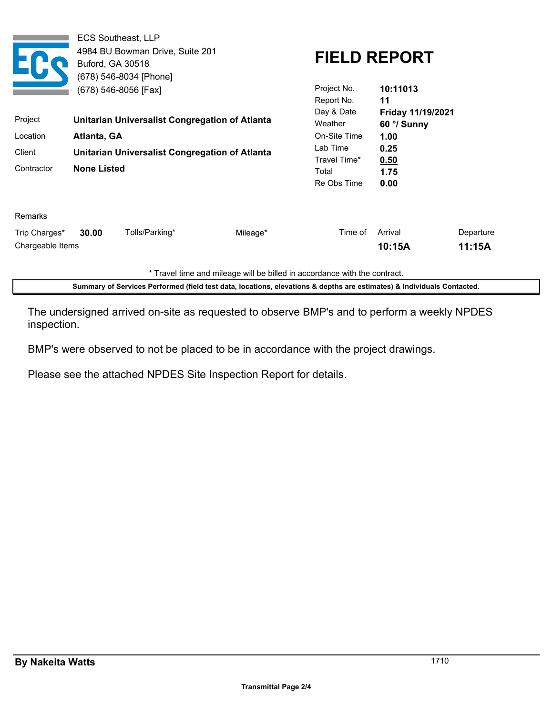Chargeable Items Arrival Departure **10:15A 11:15A** Trip Charges\* **30.00** Tolls/Parking\* Mileage\* Mileage\* Time of Remarks Re Obs Time **0.00** Total **1.75** Travel Time\* **0.50** Lab Time **0.25** On-Site Time **1.00** Contractor **None Listed** Client **Unitarian Universalist Congregation of Atlanta** Location **Atlanta, GA** Weather **60 °/ Sunny** Project **10:11013 11** Project No. **Unitarian Universalist Congregation of Atlanta** Report No. Day & Date **Friday 11/19/2021 FIELD REPORT** ECS Southeast, LLP 4984 BU Bowman Drive, Suite 201 Buford, GA 30518 (678) 546-8034 [Phone] (678) 546-8056 [Fax]

\* Travel time and mileage will be billed in accordance with the contract.

**Summary of Services Performed (field test data, locations, elevations & depths are estimates) & Individuals Contacted.**

The undersigned arrived on-site as requested to observe BMP's and to perform a weekly NPDES inspection.

BMP's were observed to not be placed to be in accordance with the project drawings.

Please see the attached NPDES Site Inspection Report for details.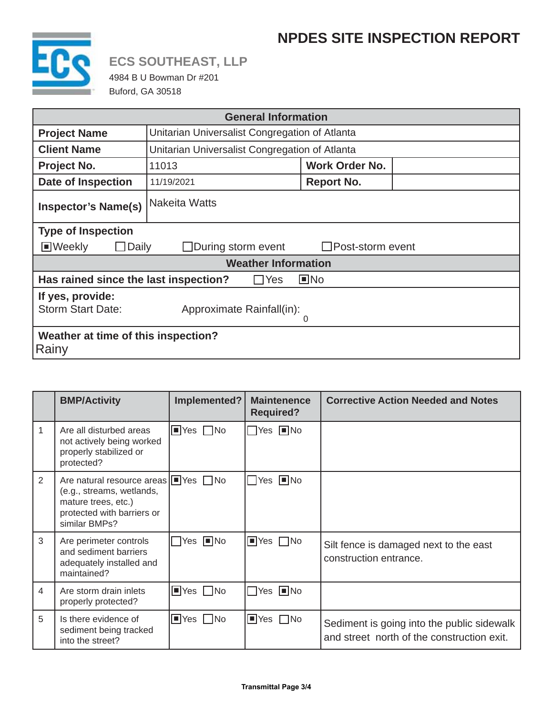## **NPDES SITE INSPECTION REPORT**



# **ECS SOUTHEAST, LLP**

4984 B U Bowman Dr #201 Buford, GA 30518

| <b>General Information</b>                                                            |                                                |                       |  |  |  |  |
|---------------------------------------------------------------------------------------|------------------------------------------------|-----------------------|--|--|--|--|
| <b>Project Name</b>                                                                   | Unitarian Universalist Congregation of Atlanta |                       |  |  |  |  |
| <b>Client Name</b>                                                                    | Unitarian Universalist Congregation of Atlanta |                       |  |  |  |  |
| Project No.                                                                           | 11013                                          | <b>Work Order No.</b> |  |  |  |  |
| <b>Date of Inspection</b>                                                             | 11/19/2021                                     | <b>Report No.</b>     |  |  |  |  |
| <b>Inspector's Name(s)</b>                                                            | <b>Nakeita Watts</b>                           |                       |  |  |  |  |
| <b>Type of Inspection</b>                                                             |                                                |                       |  |  |  |  |
| ■Weekly<br>$\Box$ During storm event<br>$\Box$ Post-storm event<br>Daily              |                                                |                       |  |  |  |  |
| <b>Weather Information</b>                                                            |                                                |                       |  |  |  |  |
| Has rained since the last inspection?<br>$\square$ No<br>Yes                          |                                                |                       |  |  |  |  |
| If yes, provide:<br><b>Storm Start Date:</b><br>Approximate Rainfall(in):<br>$\Omega$ |                                                |                       |  |  |  |  |
| Weather at time of this inspection?<br>Rainy                                          |                                                |                       |  |  |  |  |

|   | <b>BMP/Activity</b>                                                                                                                                              | Implemented?                         | <b>Maintenence</b><br><b>Required?</b> | <b>Corrective Action Needed and Notes</b>                                                |
|---|------------------------------------------------------------------------------------------------------------------------------------------------------------------|--------------------------------------|----------------------------------------|------------------------------------------------------------------------------------------|
| 1 | Are all disturbed areas<br>not actively being worked<br>properly stabilized or<br>protected?                                                                     | $\Box$ Yes $\Box$ No                 | $\Box$ Yes $\Box$ No                   |                                                                                          |
| 2 | Are natural resource areas $\sqrt{\phantom{a}}$ Yes $\Box$ No<br>(e.g., streams, wetlands,<br>mature trees, etc.)<br>protected with barriers or<br>similar BMPs? |                                      | $\Box$ Yes $\Box$ No                   |                                                                                          |
| 3 | Are perimeter controls<br>and sediment barriers<br>adequately installed and<br>maintained?                                                                       | $\Box$ Yes $\Box$ No                 | $\blacksquare$ Yes $\blacksquare$ No   | Silt fence is damaged next to the east<br>construction entrance.                         |
| 4 | Are storm drain inlets<br>properly protected?                                                                                                                    | $\blacksquare$ Yes $\blacksquare$ No | $\Box$ Yes $\Box$ No                   |                                                                                          |
| 5 | Is there evidence of<br>sediment being tracked<br>into the street?                                                                                               | $\blacksquare$ Yes $\blacksquare$ No | $\blacksquare$ Yes $\blacksquare$ No   | Sediment is going into the public sidewalk<br>and street north of the construction exit. |